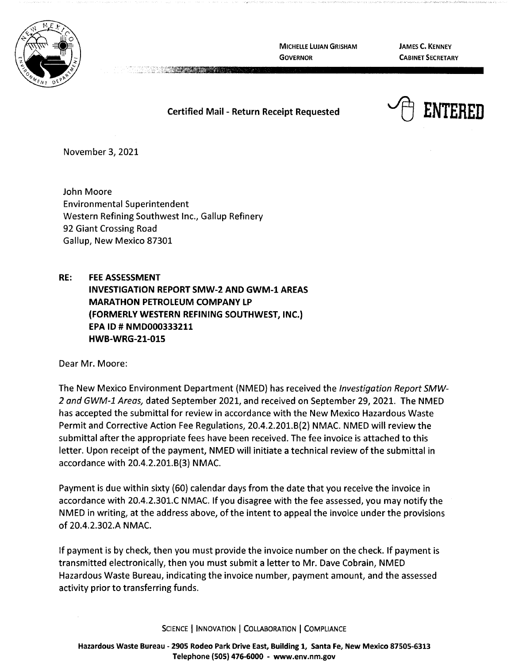

**MICHELLE LUJAN GRISHAM GOVERNOR** 

**JAMES C. KENNEY CABINET SECRETARY** 

**Certified Mail** - **Return Receipt Requested** 



November 3, 2021

John Moore Environmental Superintendent Western Refining Southwest Inc., Gallup Refinery 92 Giant Crossing Road Gallup, New Mexico 87301

**RE: FEE ASSESSMENT INVESTIGATION REPORT SMW-2 AND GWM-1 AREAS MARATHON PETROLEUM COMPANY LP (FORMERLY WESTERN REFINING SOUTHWEST, INC.) EPA ID# NMD000333211 HWB-WRG-21-015** 

Dear Mr. Moore:

The New Mexico Environment Department (NMED) has received the Investigation Report SMW-2 and GWM-1 Areas, dated September 2021, and received on September 29, 2021. The NMED has accepted the submittal for review in accordance with the New Mexico Hazardous Waste Permit and Corrective Action Fee Regulations, 20.4.2.201.B(2) NMAC. NMED will review the submittal after the appropriate fees have been received. The fee invoice is attached to this letter. Upon receipt of the payment, NMED will initiate a technical review of the submittal in accordance with 20.4.2.201.B(3) NMAC.

Payment is due within sixty {60) calendar days from the date that you receive the invoice in accordance with 20.4.2.301.C NMAC. If you disagree with the fee assessed, you may notify the NMED in writing, at the address above, of the intent to appeal the invoice under the provisions of 20.4.2.302.A **NMAC.** 

If payment is by check, then you must provide the invoice number on the check. If payment is transmitted electronically, then you must submit a letter to Mr. Dave Cobrain, NMED Hazardous Waste Bureau, indicating the invoice number, payment amount, and the assessed activity prior to transferring funds.

SCIENCE | INNOVATION | COLLABORATION | COMPLIANCE

**Hazardous Waste Bureau** - **2905 Rodeo Park Drive East, Building 1, Santa Fe, New Mexico 87505-6313 Telephone (SOS) 476-6000** - **www.env.nm.gov**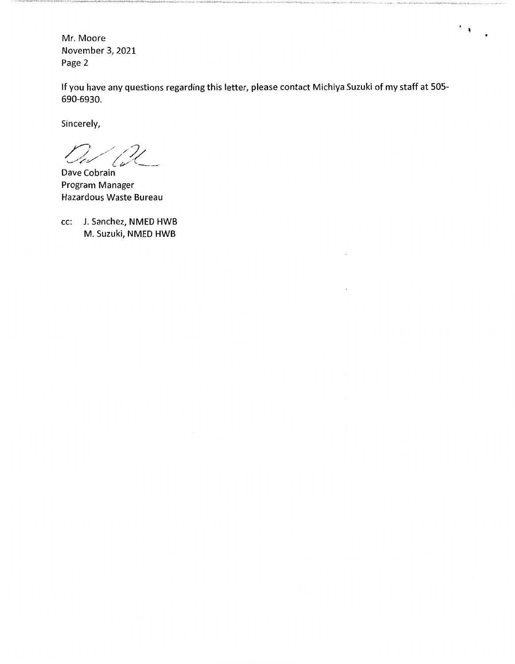Mr. Moore November 3, 2021 Page 2

If you have any questions regarding this letter, please contact Michiya Suzuki of my staff at 505- 690-6930.

 $\mathcal{F}(\mathcal{G})$ 

Sincerely,

 $\sqrt{2}$ 

Dave Cobrain Program Manager Hazardous Waste Bureau

cc: J. Sanchez, NMED HWB M. Suzuki, NMED HWB